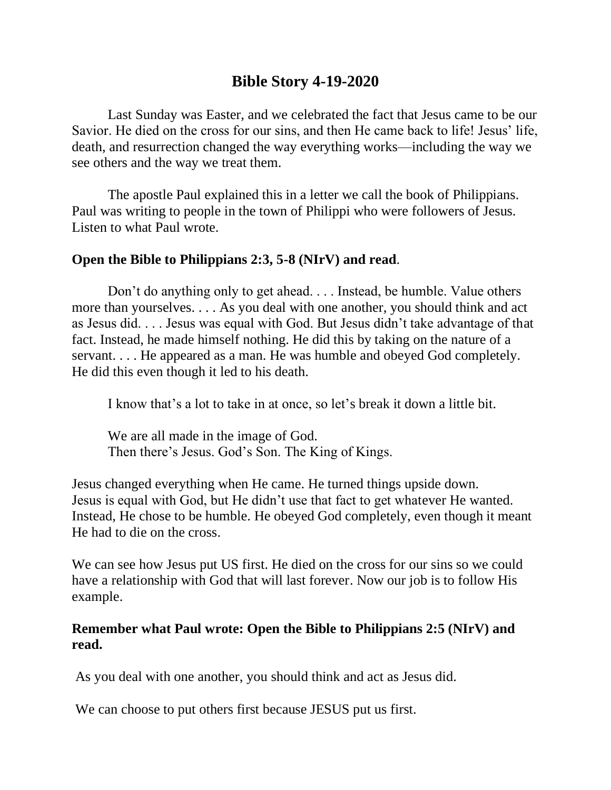# **Bible Story 4-19-2020**

Last Sunday was Easter, and we celebrated the fact that Jesus came to be our Savior. He died on the cross for our sins, and then He came back to life! Jesus' life, death, and resurrection changed the way everything works—including the way we see others and the way we treat them.

The apostle Paul explained this in a letter we call the book of Philippians. Paul was writing to people in the town of Philippi who were followers of Jesus. Listen to what Paul wrote.

#### **Open the Bible to Philippians 2:3, 5-8 (NIrV) and read**.

Don't do anything only to get ahead. . . . Instead, be humble. Value others more than yourselves. . . . As you deal with one another, you should think and act as Jesus did. . . . Jesus was equal with God. But Jesus didn't take advantage of that fact. Instead, he made himself nothing. He did this by taking on the nature of a servant. . . . He appeared as a man. He was humble and obeyed God completely. He did this even though it led to his death.

I know that's a lot to take in at once, so let's break it down a little bit.

We are all made in the image of God. Then there's Jesus. God's Son. The King of Kings.

Jesus changed everything when He came. He turned things upside down. Jesus is equal with God, but He didn't use that fact to get whatever He wanted. Instead, He chose to be humble. He obeyed God completely, even though it meant He had to die on the cross.

We can see how Jesus put US first. He died on the cross for our sins so we could have a relationship with God that will last forever. Now our job is to follow His example.

## **Remember what Paul wrote: Open the Bible to Philippians 2:5 (NIrV) and read.**

As you deal with one another, you should think and act as Jesus did.

We can choose to put others first because JESUS put us first.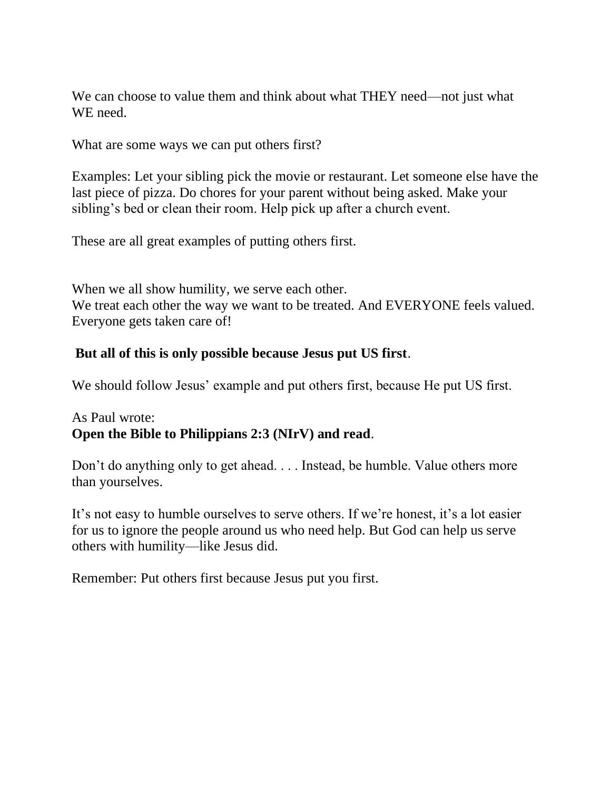We can choose to value them and think about what THEY need—not just what WE need.

What are some ways we can put others first?

Examples: Let your sibling pick the movie or restaurant. Let someone else have the last piece of pizza. Do chores for your parent without being asked. Make your sibling's bed or clean their room. Help pick up after a church event.

These are all great examples of putting others first.

When we all show humility, we serve each other. We treat each other the way we want to be treated. And EVERYONE feels valued. Everyone gets taken care of!

#### **But all of this is only possible because Jesus put US first**.

We should follow Jesus' example and put others first, because He put US first.

# As Paul wrote: **Open the Bible to Philippians 2:3 (NIrV) and read**.

Don't do anything only to get ahead. . . . Instead, be humble. Value others more than yourselves.

It's not easy to humble ourselves to serve others. If we're honest, it's a lot easier for us to ignore the people around us who need help. But God can help us serve others with humility—like Jesus did.

Remember: Put others first because Jesus put you first.